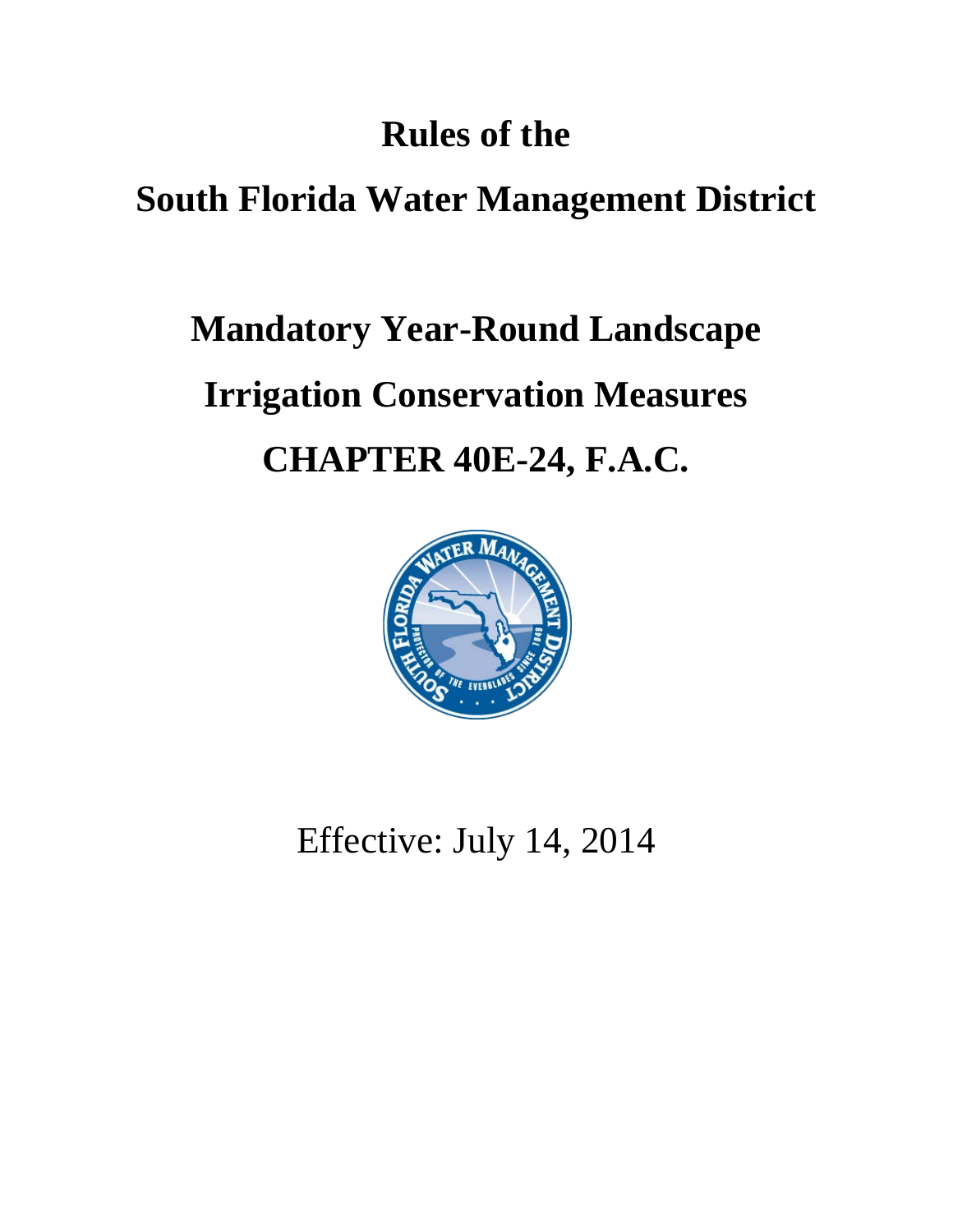### **Rules of the**

### **South Florida Water Management District**

# **Mandatory Year-Round Landscape Irrigation Conservation Measures CHAPTER 40E-24, F.A.C.**



Effective: July 14, 2014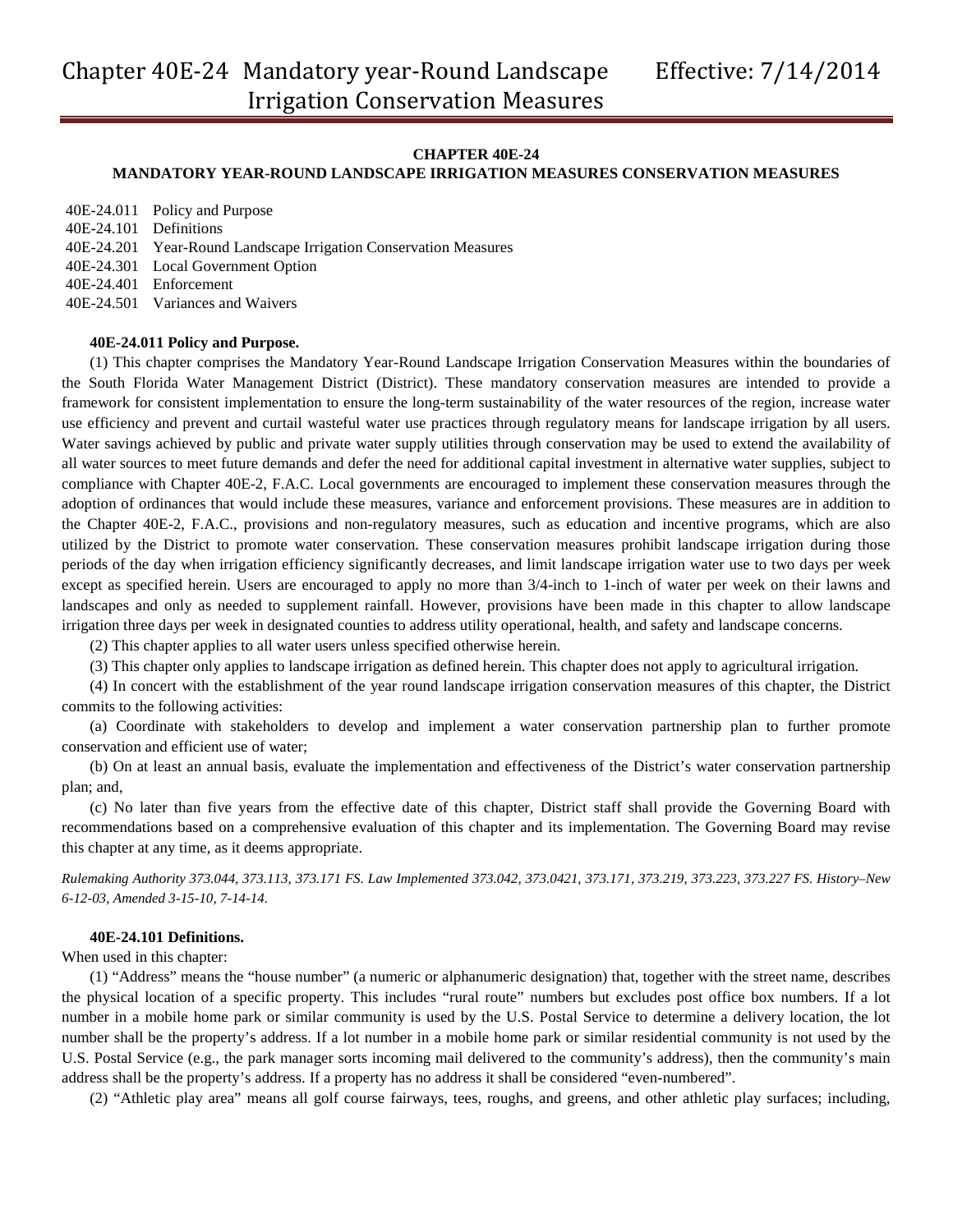#### **CHAPTER 40E-24**

#### **MANDATORY YEAR-ROUND LANDSCAPE IRRIGATION MEASURES CONSERVATION MEASURES**

|                        | 40E-24.011 Policy and Purpose                                    |
|------------------------|------------------------------------------------------------------|
| 40E-24.101 Definitions |                                                                  |
|                        | 40E-24.201 Year-Round Landscape Irrigation Conservation Measures |
|                        | 40E-24.301 Local Government Option                               |
|                        | 40E-24.401 Enforcement                                           |
|                        | 40E-24.501 Variances and Waivers                                 |

#### **40E-24.011 Policy and Purpose.**

(1) This chapter comprises the Mandatory Year-Round Landscape Irrigation Conservation Measures within the boundaries of the South Florida Water Management District (District). These mandatory conservation measures are intended to provide a framework for consistent implementation to ensure the long-term sustainability of the water resources of the region, increase water use efficiency and prevent and curtail wasteful water use practices through regulatory means for landscape irrigation by all users. Water savings achieved by public and private water supply utilities through conservation may be used to extend the availability of all water sources to meet future demands and defer the need for additional capital investment in alternative water supplies, subject to compliance with Chapter 40E-2, F.A.C. Local governments are encouraged to implement these conservation measures through the adoption of ordinances that would include these measures, variance and enforcement provisions. These measures are in addition to the Chapter 40E-2, F.A.C., provisions and non-regulatory measures, such as education and incentive programs, which are also utilized by the District to promote water conservation. These conservation measures prohibit landscape irrigation during those periods of the day when irrigation efficiency significantly decreases, and limit landscape irrigation water use to two days per week except as specified herein. Users are encouraged to apply no more than 3/4-inch to 1-inch of water per week on their lawns and landscapes and only as needed to supplement rainfall. However, provisions have been made in this chapter to allow landscape irrigation three days per week in designated counties to address utility operational, health, and safety and landscape concerns.

(2) This chapter applies to all water users unless specified otherwise herein.

(3) This chapter only applies to landscape irrigation as defined herein. This chapter does not apply to agricultural irrigation.

(4) In concert with the establishment of the year round landscape irrigation conservation measures of this chapter, the District commits to the following activities:

(a) Coordinate with stakeholders to develop and implement a water conservation partnership plan to further promote conservation and efficient use of water;

(b) On at least an annual basis, evaluate the implementation and effectiveness of the District's water conservation partnership plan; and,

(c) No later than five years from the effective date of this chapter, District staff shall provide the Governing Board with recommendations based on a comprehensive evaluation of this chapter and its implementation. The Governing Board may revise this chapter at any time, as it deems appropriate.

*Rulemaking Authority 373.044, 373.113, 373.171 FS. Law Implemented 373.042, 373.0421, 373.171, 373.219, 373.223, 373.227 FS. History–New 6-12-03, Amended 3-15-10, 7-14-14.*

#### **40E-24.101 Definitions.**

When used in this chapter:

(1) "Address" means the "house number" (a numeric or alphanumeric designation) that, together with the street name, describes the physical location of a specific property. This includes "rural route" numbers but excludes post office box numbers. If a lot number in a mobile home park or similar community is used by the U.S. Postal Service to determine a delivery location, the lot number shall be the property's address. If a lot number in a mobile home park or similar residential community is not used by the U.S. Postal Service (e.g., the park manager sorts incoming mail delivered to the community's address), then the community's main address shall be the property's address. If a property has no address it shall be considered "even-numbered".

(2) "Athletic play area" means all golf course fairways, tees, roughs, and greens, and other athletic play surfaces; including,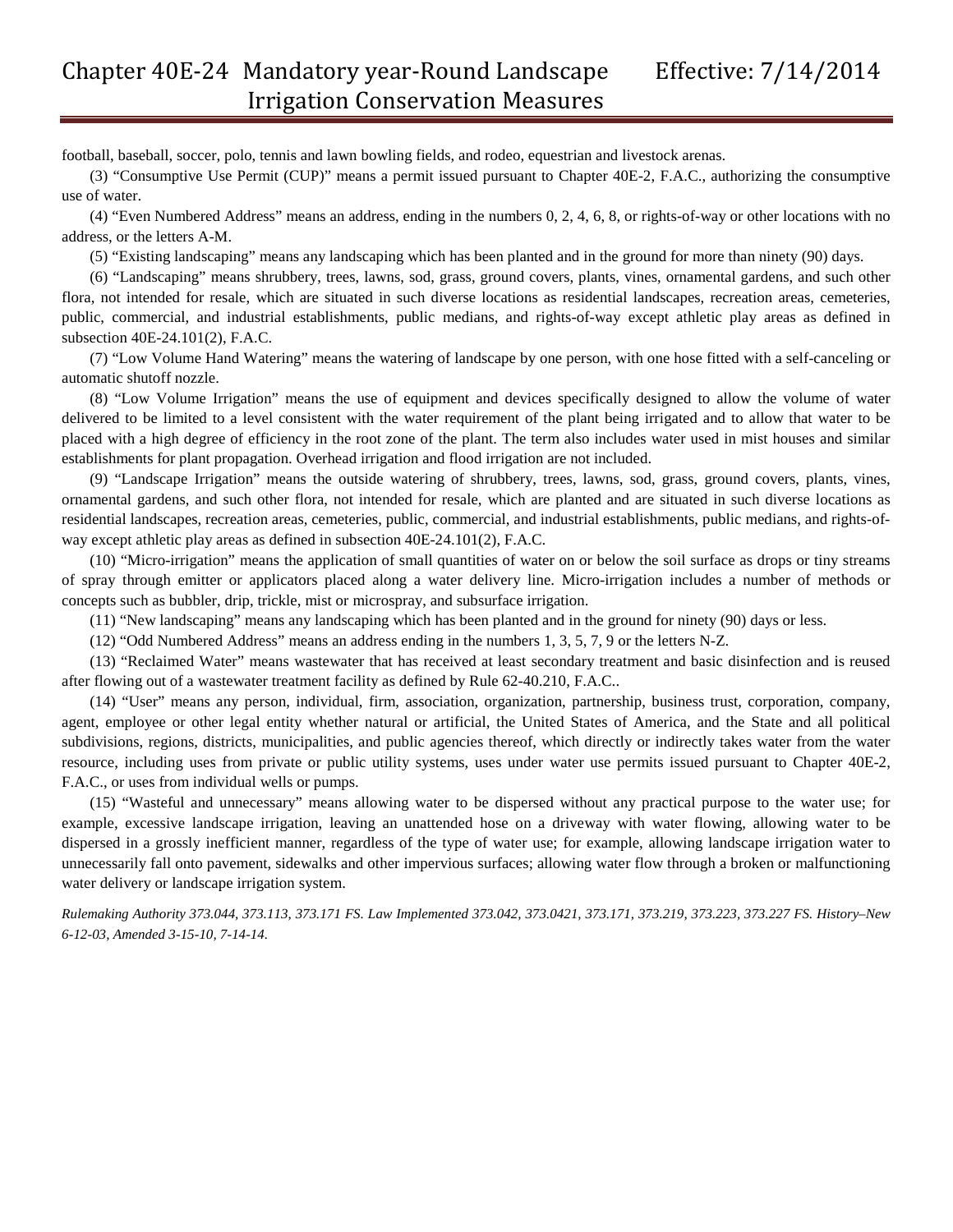football, baseball, soccer, polo, tennis and lawn bowling fields, and rodeo, equestrian and livestock arenas.

(3) "Consumptive Use Permit (CUP)" means a permit issued pursuant to Chapter 40E-2, F.A.C., authorizing the consumptive use of water.

(4) "Even Numbered Address" means an address, ending in the numbers 0, 2, 4, 6, 8, or rights-of-way or other locations with no address, or the letters A-M.

(5) "Existing landscaping" means any landscaping which has been planted and in the ground for more than ninety (90) days.

(6) "Landscaping" means shrubbery, trees, lawns, sod, grass, ground covers, plants, vines, ornamental gardens, and such other flora, not intended for resale, which are situated in such diverse locations as residential landscapes, recreation areas, cemeteries, public, commercial, and industrial establishments, public medians, and rights-of-way except athletic play areas as defined in subsection 40E-24.101(2), F.A.C.

(7) "Low Volume Hand Watering" means the watering of landscape by one person, with one hose fitted with a self-canceling or automatic shutoff nozzle.

(8) "Low Volume Irrigation" means the use of equipment and devices specifically designed to allow the volume of water delivered to be limited to a level consistent with the water requirement of the plant being irrigated and to allow that water to be placed with a high degree of efficiency in the root zone of the plant. The term also includes water used in mist houses and similar establishments for plant propagation. Overhead irrigation and flood irrigation are not included.

(9) "Landscape Irrigation" means the outside watering of shrubbery, trees, lawns, sod, grass, ground covers, plants, vines, ornamental gardens, and such other flora, not intended for resale, which are planted and are situated in such diverse locations as residential landscapes, recreation areas, cemeteries, public, commercial, and industrial establishments, public medians, and rights-ofway except athletic play areas as defined in subsection 40E-24.101(2), F.A.C.

(10) "Micro-irrigation" means the application of small quantities of water on or below the soil surface as drops or tiny streams of spray through emitter or applicators placed along a water delivery line. Micro-irrigation includes a number of methods or concepts such as bubbler, drip, trickle, mist or microspray, and subsurface irrigation.

(11) "New landscaping" means any landscaping which has been planted and in the ground for ninety (90) days or less.

(12) "Odd Numbered Address" means an address ending in the numbers 1, 3, 5, 7, 9 or the letters N-Z.

(13) "Reclaimed Water" means wastewater that has received at least secondary treatment and basic disinfection and is reused after flowing out of a wastewater treatment facility as defined by Rule 62-40.210, F.A.C..

(14) "User" means any person, individual, firm, association, organization, partnership, business trust, corporation, company, agent, employee or other legal entity whether natural or artificial, the United States of America, and the State and all political subdivisions, regions, districts, municipalities, and public agencies thereof, which directly or indirectly takes water from the water resource, including uses from private or public utility systems, uses under water use permits issued pursuant to Chapter 40E-2, F.A.C., or uses from individual wells or pumps.

(15) "Wasteful and unnecessary" means allowing water to be dispersed without any practical purpose to the water use; for example, excessive landscape irrigation, leaving an unattended hose on a driveway with water flowing, allowing water to be dispersed in a grossly inefficient manner, regardless of the type of water use; for example, allowing landscape irrigation water to unnecessarily fall onto pavement, sidewalks and other impervious surfaces; allowing water flow through a broken or malfunctioning water delivery or landscape irrigation system.

*Rulemaking Authority 373.044, 373.113, 373.171 FS. Law Implemented 373.042, 373.0421, 373.171, 373.219, 373.223, 373.227 FS. History–New 6-12-03, Amended 3-15-10, 7-14-14.*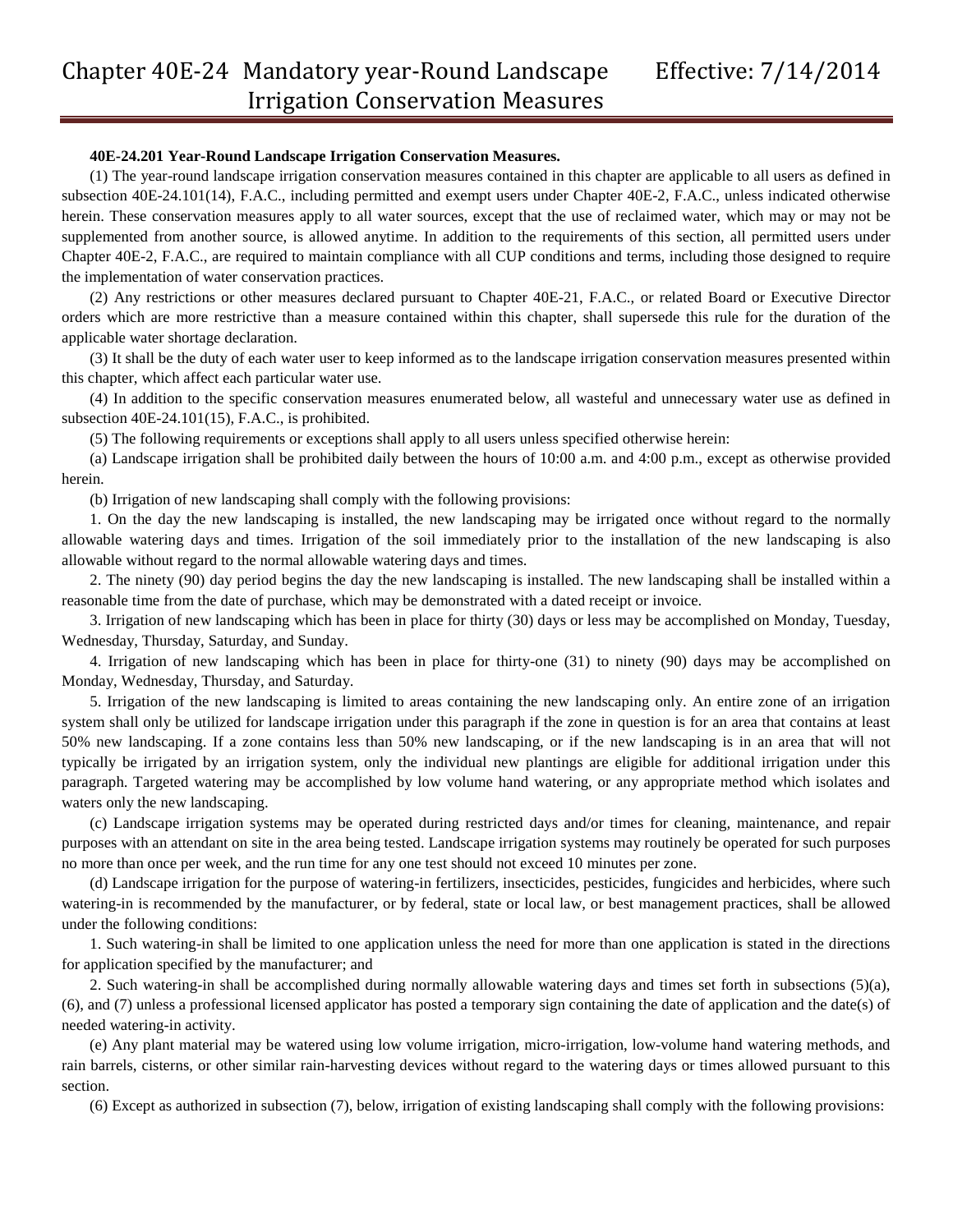#### **40E-24.201 Year-Round Landscape Irrigation Conservation Measures.**

(1) The year-round landscape irrigation conservation measures contained in this chapter are applicable to all users as defined in subsection 40E-24.101(14), F.A.C., including permitted and exempt users under Chapter 40E-2, F.A.C., unless indicated otherwise herein. These conservation measures apply to all water sources, except that the use of reclaimed water, which may or may not be supplemented from another source, is allowed anytime. In addition to the requirements of this section, all permitted users under Chapter 40E-2, F.A.C., are required to maintain compliance with all CUP conditions and terms, including those designed to require the implementation of water conservation practices.

(2) Any restrictions or other measures declared pursuant to Chapter 40E-21, F.A.C., or related Board or Executive Director orders which are more restrictive than a measure contained within this chapter, shall supersede this rule for the duration of the applicable water shortage declaration.

(3) It shall be the duty of each water user to keep informed as to the landscape irrigation conservation measures presented within this chapter, which affect each particular water use.

(4) In addition to the specific conservation measures enumerated below, all wasteful and unnecessary water use as defined in subsection 40E-24.101(15), F.A.C., is prohibited.

(5) The following requirements or exceptions shall apply to all users unless specified otherwise herein:

(a) Landscape irrigation shall be prohibited daily between the hours of 10:00 a.m. and 4:00 p.m., except as otherwise provided herein.

(b) Irrigation of new landscaping shall comply with the following provisions:

1. On the day the new landscaping is installed, the new landscaping may be irrigated once without regard to the normally allowable watering days and times. Irrigation of the soil immediately prior to the installation of the new landscaping is also allowable without regard to the normal allowable watering days and times.

2. The ninety (90) day period begins the day the new landscaping is installed. The new landscaping shall be installed within a reasonable time from the date of purchase, which may be demonstrated with a dated receipt or invoice.

3. Irrigation of new landscaping which has been in place for thirty (30) days or less may be accomplished on Monday, Tuesday, Wednesday, Thursday, Saturday, and Sunday.

4. Irrigation of new landscaping which has been in place for thirty-one (31) to ninety (90) days may be accomplished on Monday, Wednesday, Thursday, and Saturday.

5. Irrigation of the new landscaping is limited to areas containing the new landscaping only. An entire zone of an irrigation system shall only be utilized for landscape irrigation under this paragraph if the zone in question is for an area that contains at least 50% new landscaping. If a zone contains less than 50% new landscaping, or if the new landscaping is in an area that will not typically be irrigated by an irrigation system, only the individual new plantings are eligible for additional irrigation under this paragraph. Targeted watering may be accomplished by low volume hand watering, or any appropriate method which isolates and waters only the new landscaping.

(c) Landscape irrigation systems may be operated during restricted days and/or times for cleaning, maintenance, and repair purposes with an attendant on site in the area being tested. Landscape irrigation systems may routinely be operated for such purposes no more than once per week, and the run time for any one test should not exceed 10 minutes per zone.

(d) Landscape irrigation for the purpose of watering-in fertilizers, insecticides, pesticides, fungicides and herbicides, where such watering-in is recommended by the manufacturer, or by federal, state or local law, or best management practices, shall be allowed under the following conditions:

1. Such watering-in shall be limited to one application unless the need for more than one application is stated in the directions for application specified by the manufacturer; and

2. Such watering-in shall be accomplished during normally allowable watering days and times set forth in subsections (5)(a), (6), and (7) unless a professional licensed applicator has posted a temporary sign containing the date of application and the date(s) of needed watering-in activity.

(e) Any plant material may be watered using low volume irrigation, micro-irrigation, low-volume hand watering methods, and rain barrels, cisterns, or other similar rain-harvesting devices without regard to the watering days or times allowed pursuant to this section.

(6) Except as authorized in subsection (7), below, irrigation of existing landscaping shall comply with the following provisions: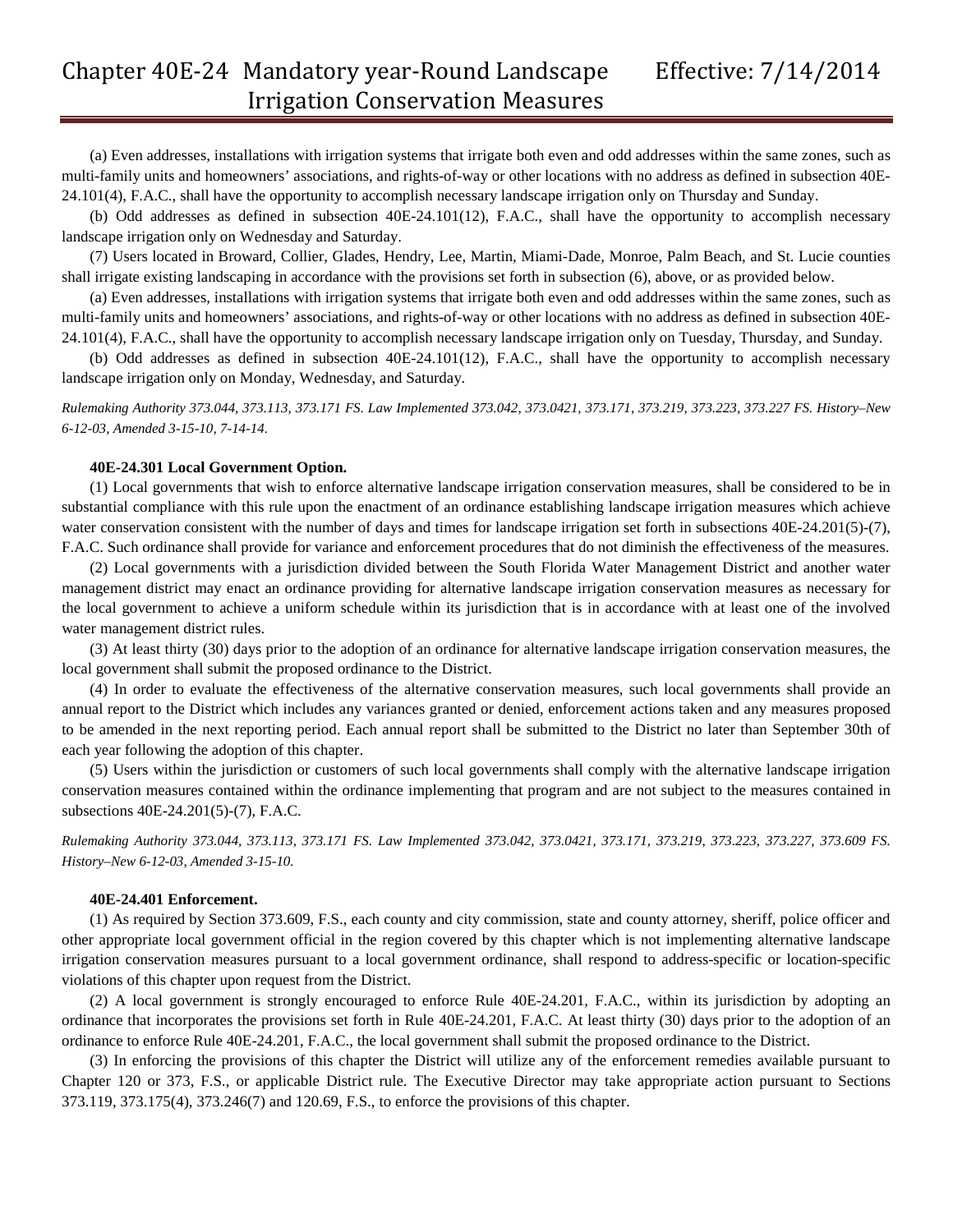(a) Even addresses, installations with irrigation systems that irrigate both even and odd addresses within the same zones, such as multi-family units and homeowners' associations, and rights-of-way or other locations with no address as defined in subsection 40E-24.101(4), F.A.C., shall have the opportunity to accomplish necessary landscape irrigation only on Thursday and Sunday.

(b) Odd addresses as defined in subsection 40E-24.101(12), F.A.C., shall have the opportunity to accomplish necessary landscape irrigation only on Wednesday and Saturday.

(7) Users located in Broward, Collier, Glades, Hendry, Lee, Martin, Miami-Dade, Monroe, Palm Beach, and St. Lucie counties shall irrigate existing landscaping in accordance with the provisions set forth in subsection (6), above, or as provided below.

(a) Even addresses, installations with irrigation systems that irrigate both even and odd addresses within the same zones, such as multi-family units and homeowners' associations, and rights-of-way or other locations with no address as defined in subsection 40E-24.101(4), F.A.C., shall have the opportunity to accomplish necessary landscape irrigation only on Tuesday, Thursday, and Sunday.

(b) Odd addresses as defined in subsection 40E-24.101(12), F.A.C., shall have the opportunity to accomplish necessary landscape irrigation only on Monday, Wednesday, and Saturday.

*Rulemaking Authority 373.044, 373.113, 373.171 FS. Law Implemented 373.042, 373.0421, 373.171, 373.219, 373.223, 373.227 FS. History–New 6-12-03, Amended 3-15-10, 7-14-14.*

#### **40E-24.301 Local Government Option.**

(1) Local governments that wish to enforce alternative landscape irrigation conservation measures, shall be considered to be in substantial compliance with this rule upon the enactment of an ordinance establishing landscape irrigation measures which achieve water conservation consistent with the number of days and times for landscape irrigation set forth in subsections 40E-24.201(5)-(7), F.A.C. Such ordinance shall provide for variance and enforcement procedures that do not diminish the effectiveness of the measures.

(2) Local governments with a jurisdiction divided between the South Florida Water Management District and another water management district may enact an ordinance providing for alternative landscape irrigation conservation measures as necessary for the local government to achieve a uniform schedule within its jurisdiction that is in accordance with at least one of the involved water management district rules.

(3) At least thirty (30) days prior to the adoption of an ordinance for alternative landscape irrigation conservation measures, the local government shall submit the proposed ordinance to the District.

(4) In order to evaluate the effectiveness of the alternative conservation measures, such local governments shall provide an annual report to the District which includes any variances granted or denied, enforcement actions taken and any measures proposed to be amended in the next reporting period. Each annual report shall be submitted to the District no later than September 30th of each year following the adoption of this chapter.

(5) Users within the jurisdiction or customers of such local governments shall comply with the alternative landscape irrigation conservation measures contained within the ordinance implementing that program and are not subject to the measures contained in subsections 40E-24.201(5)-(7), F.A.C.

*Rulemaking Authority 373.044, 373.113, 373.171 FS. Law Implemented 373.042, 373.0421, 373.171, 373.219, 373.223, 373.227, 373.609 FS. History–New 6-12-03, Amended 3-15-10.*

#### **40E-24.401 Enforcement.**

(1) As required by Section 373.609, F.S., each county and city commission, state and county attorney, sheriff, police officer and other appropriate local government official in the region covered by this chapter which is not implementing alternative landscape irrigation conservation measures pursuant to a local government ordinance, shall respond to address-specific or location-specific violations of this chapter upon request from the District.

(2) A local government is strongly encouraged to enforce Rule 40E-24.201, F.A.C., within its jurisdiction by adopting an ordinance that incorporates the provisions set forth in Rule 40E-24.201, F.A.C. At least thirty (30) days prior to the adoption of an ordinance to enforce Rule 40E-24.201, F.A.C., the local government shall submit the proposed ordinance to the District.

(3) In enforcing the provisions of this chapter the District will utilize any of the enforcement remedies available pursuant to Chapter 120 or 373, F.S., or applicable District rule. The Executive Director may take appropriate action pursuant to Sections 373.119, 373.175(4), 373.246(7) and 120.69, F.S., to enforce the provisions of this chapter.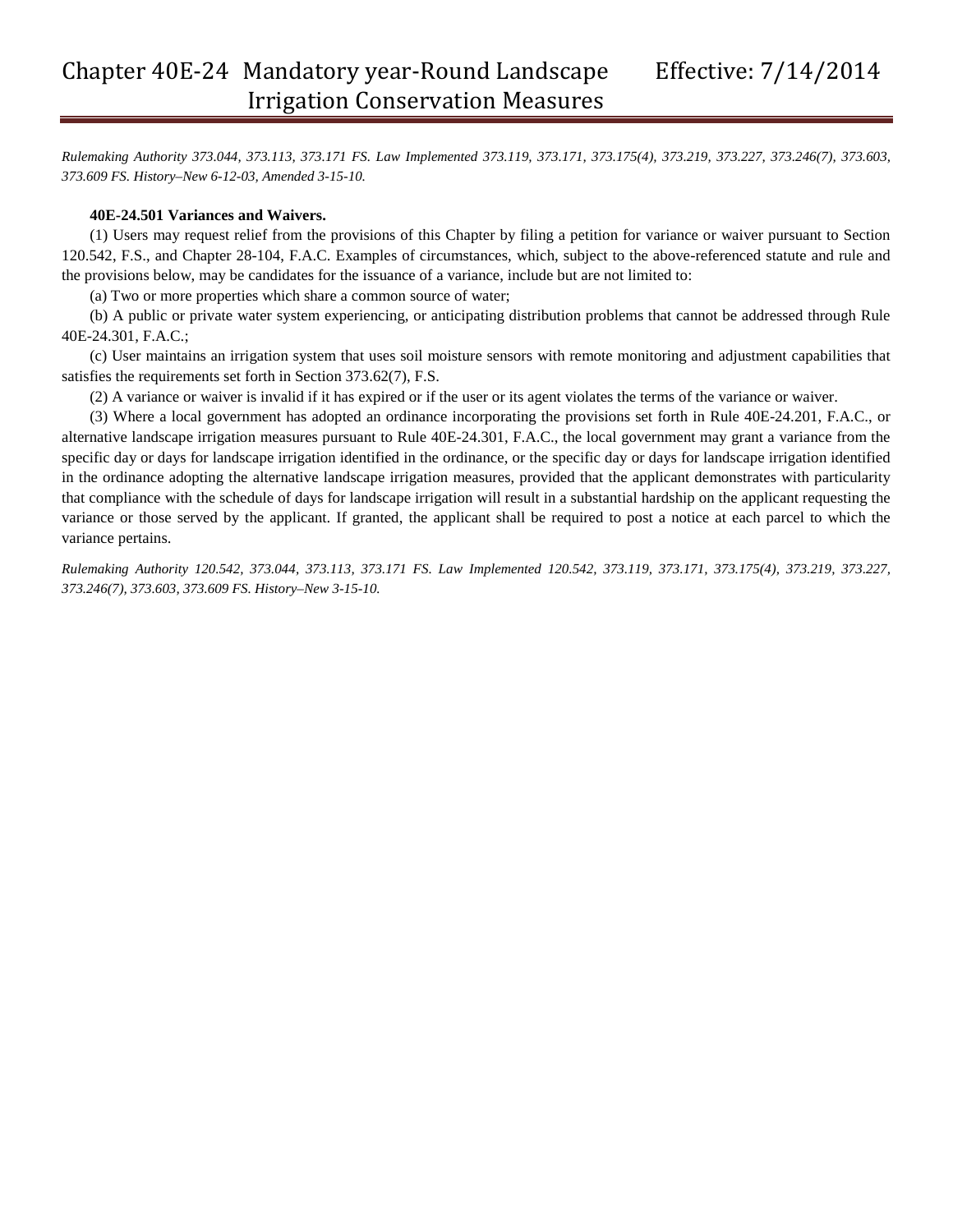*Rulemaking Authority 373.044, 373.113, 373.171 FS. Law Implemented 373.119, 373.171, 373.175(4), 373.219, 373.227, 373.246(7), 373.603, 373.609 FS. History–New 6-12-03, Amended 3-15-10.*

#### **40E-24.501 Variances and Waivers.**

(1) Users may request relief from the provisions of this Chapter by filing a petition for variance or waiver pursuant to Section 120.542, F.S., and Chapter 28-104, F.A.C. Examples of circumstances, which, subject to the above-referenced statute and rule and the provisions below, may be candidates for the issuance of a variance, include but are not limited to:

(a) Two or more properties which share a common source of water;

(b) A public or private water system experiencing, or anticipating distribution problems that cannot be addressed through Rule 40E-24.301, F.A.C.;

(c) User maintains an irrigation system that uses soil moisture sensors with remote monitoring and adjustment capabilities that satisfies the requirements set forth in Section 373.62(7), F.S.

(2) A variance or waiver is invalid if it has expired or if the user or its agent violates the terms of the variance or waiver.

(3) Where a local government has adopted an ordinance incorporating the provisions set forth in Rule 40E-24.201, F.A.C., or alternative landscape irrigation measures pursuant to Rule 40E-24.301, F.A.C., the local government may grant a variance from the specific day or days for landscape irrigation identified in the ordinance, or the specific day or days for landscape irrigation identified in the ordinance adopting the alternative landscape irrigation measures, provided that the applicant demonstrates with particularity that compliance with the schedule of days for landscape irrigation will result in a substantial hardship on the applicant requesting the variance or those served by the applicant. If granted, the applicant shall be required to post a notice at each parcel to which the variance pertains.

*Rulemaking Authority 120.542, 373.044, 373.113, 373.171 FS. Law Implemented 120.542, 373.119, 373.171, 373.175(4), 373.219, 373.227, 373.246(7), 373.603, 373.609 FS. History–New 3-15-10.*